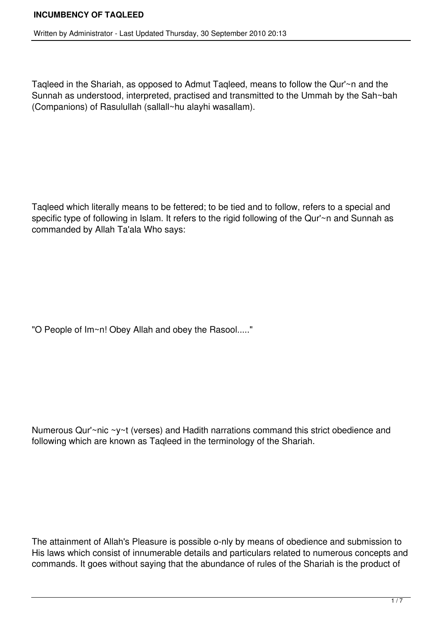Taqleed in the Shariah, as opposed to Admut Taqleed, means to follow the Qur'~n and the Sunnah as understood, interpreted, practised and transmitted to the Ummah by the Sah~bah (Companions) of Rasulullah (sallall~hu alayhi wasallam).

Taqleed which literally means to be fettered; to be tied and to follow, refers to a special and specific type of following in Islam. It refers to the rigid following of the Qur'~n and Sunnah as commanded by Allah Ta'ala Who says:

"O People of Im~n! Obey Allah and obey the Rasool....."

Numerous Qur'~nic ~y~t (verses) and Hadith narrations command this strict obedience and following which are known as Taqleed in the terminology of the Shariah.

The attainment of Allah's Pleasure is possible o-nly by means of obedience and submission to His laws which consist of innumerable details and particulars related to numerous concepts and commands. It goes without saying that the abundance of rules of the Shariah is the product of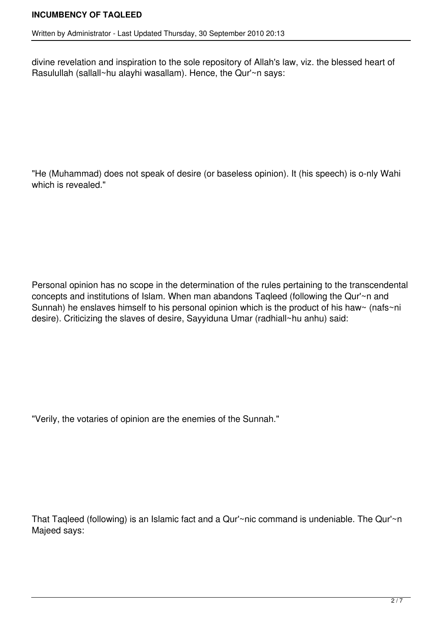divine revelation and inspiration to the sole repository of Allah's law, viz. the blessed heart of Rasulullah (sallall~hu alayhi wasallam). Hence, the Qur'~n says:

"He (Muhammad) does not speak of desire (or baseless opinion). It (his speech) is o-nly Wahi which is revealed."

Personal opinion has no scope in the determination of the rules pertaining to the transcendental concepts and institutions of Islam. When man abandons Taqleed (following the Qur'~n and Sunnah) he enslaves himself to his personal opinion which is the product of his haw~ (nafs~ni desire). Criticizing the slaves of desire, Sayyiduna Umar (radhiall~hu anhu) said:

"Verily, the votaries of opinion are the enemies of the Sunnah."

That Taqleed (following) is an Islamic fact and a Qur'~nic command is undeniable. The Qur'~n Majeed says: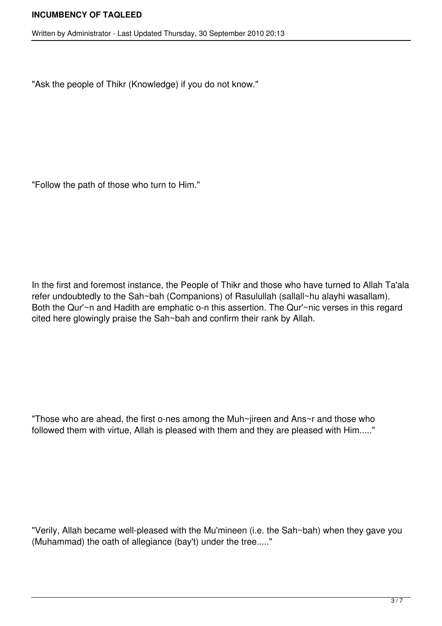Written by Administrator - Last Updated Thursday, 30 September 2010 20:13

"Ask the people of Thikr (Knowledge) if you do not know."

"Follow the path of those who turn to Him."

In the first and foremost instance, the People of Thikr and those who have turned to Allah Ta'ala refer undoubtedly to the Sah~bah (Companions) of Rasulullah (sallall~hu alayhi wasallam). Both the Qur'~n and Hadith are emphatic o-n this assertion. The Qur'~nic verses in this regard cited here glowingly praise the Sah~bah and confirm their rank by Allah.

"Those who are ahead, the first o-nes among the Muh~jireen and Ans~r and those who followed them with virtue, Allah is pleased with them and they are pleased with Him....."

"Verily, Allah became well-pleased with the Mu'mineen (i.e. the Sah~bah) when they gave you (Muhammad) the oath of allegiance (bay't) under the tree....."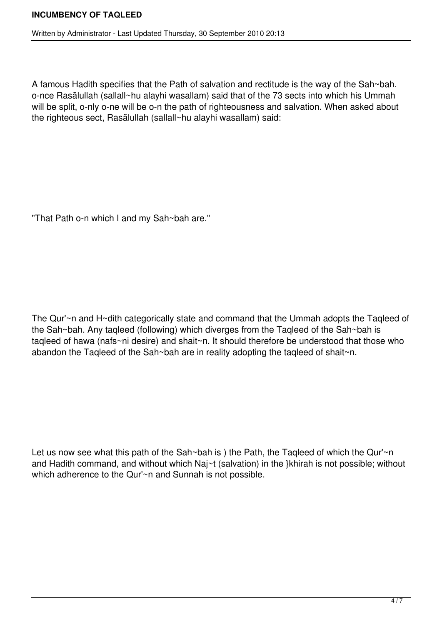A famous Hadith specifies that the Path of salvation and rectitude is the way of the Sah~bah. once Rasãlullah (sallall~hu alayhi wasallam) said that of the 73 sects into which his Ummah will be split, o-nly o-ne will be o-n the path of righteousness and salvation. When asked about the righteous sect, Rasãlullah (sallall~hu alayhi wasallam) said:

"That Path o-n which I and my Sah~bah are."

The Qur'~n and H~dith categorically state and command that the Ummah adopts the Taqleed of the Sah~bah. Any taqleed (following) which diverges from the Taqleed of the Sah~bah is taqleed of hawa (nafs~ni desire) and shait~n. It should therefore be understood that those who abandon the Taqleed of the Sah~bah are in reality adopting the taqleed of shait~n.

Let us now see what this path of the Sah~bah is ) the Path, the Tagleed of which the Qur'~n and Hadith command, and without which Naj~t (salvation) in the }khirah is not possible; without which adherence to the Qur'~n and Sunnah is not possible.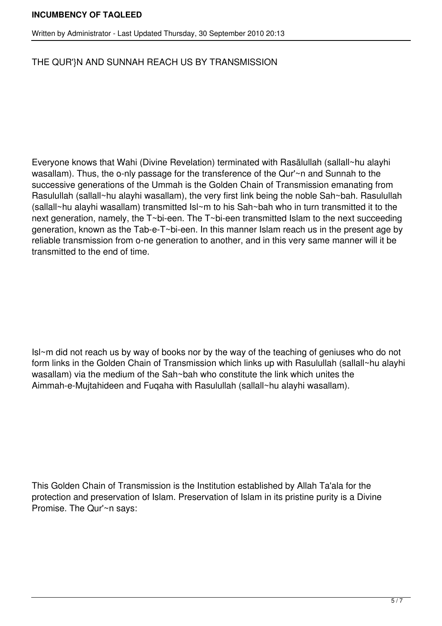## **INCUMBENCY OF TAQLEED**

## THE QUR'}N AND SUNNAH REACH US BY TRANSMISSION

Everyone knows that Wahi (Divine Revelation) terminated with Rasãlullah (sallall~hu alayhi wasallam). Thus, the o-nly passage for the transference of the Qur'~n and Sunnah to the successive generations of the Ummah is the Golden Chain of Transmission emanating from Rasulullah (sallall~hu alayhi wasallam), the very first link being the noble Sah~bah. Rasulullah (sallall~hu alayhi wasallam) transmitted Isl~m to his Sah~bah who in turn transmitted it to the next generation, namely, the T~bi-een. The T~bi-een transmitted Islam to the next succeeding generation, known as the Tab-e-T~bi-een. In this manner Islam reach us in the present age by reliable transmission from o-ne generation to another, and in this very same manner will it be transmitted to the end of time.

Isl~m did not reach us by way of books nor by the way of the teaching of geniuses who do not form links in the Golden Chain of Transmission which links up with Rasulullah (sallall~hu alayhi wasallam) via the medium of the Sah~bah who constitute the link which unites the Aimmah-e-Mujtahideen and Fuqaha with Rasulullah (sallall~hu alayhi wasallam).

This Golden Chain of Transmission is the Institution established by Allah Ta'ala for the protection and preservation of Islam. Preservation of Islam in its pristine purity is a Divine Promise. The Qur'~n says: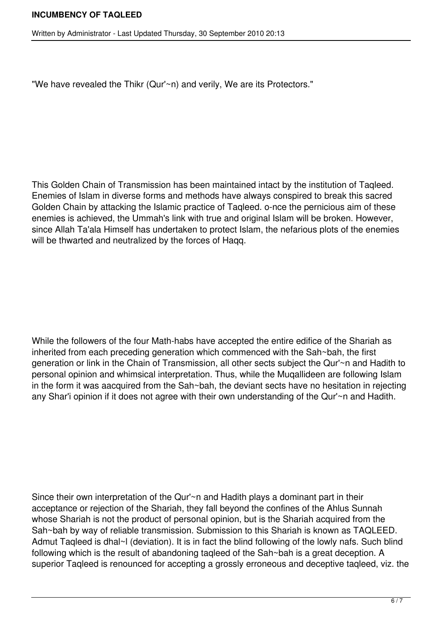"We have revealed the Thikr (Qur'~n) and verily, We are its Protectors."

This Golden Chain of Transmission has been maintained intact by the institution of Taqleed. Enemies of Islam in diverse forms and methods have always conspired to break this sacred Golden Chain by attacking the Islamic practice of Taqleed. o-nce the pernicious aim of these enemies is achieved, the Ummah's link with true and original Islam will be broken. However, since Allah Ta'ala Himself has undertaken to protect Islam, the nefarious plots of the enemies will be thwarted and neutralized by the forces of Haqq.

While the followers of the four Math-habs have accepted the entire edifice of the Shariah as inherited from each preceding generation which commenced with the Sah~bah, the first generation or link in the Chain of Transmission, all other sects subject the Qur'~n and Hadith to personal opinion and whimsical interpretation. Thus, while the Muqallideen are following Islam in the form it was aacquired from the Sah~bah, the deviant sects have no hesitation in rejecting any Shar'i opinion if it does not agree with their own understanding of the Qur'~n and Hadith.

Since their own interpretation of the Qur'~n and Hadith plays a dominant part in their acceptance or rejection of the Shariah, they fall beyond the confines of the Ahlus Sunnah whose Shariah is not the product of personal opinion, but is the Shariah acquired from the Sah~bah by way of reliable transmission. Submission to this Shariah is known as TAQLEED. Admut Tagleed is dhal~I (deviation). It is in fact the blind following of the lowly nafs. Such blind following which is the result of abandoning taqleed of the Sah~bah is a great deception. A superior Taqleed is renounced for accepting a grossly erroneous and deceptive taqleed, viz. the